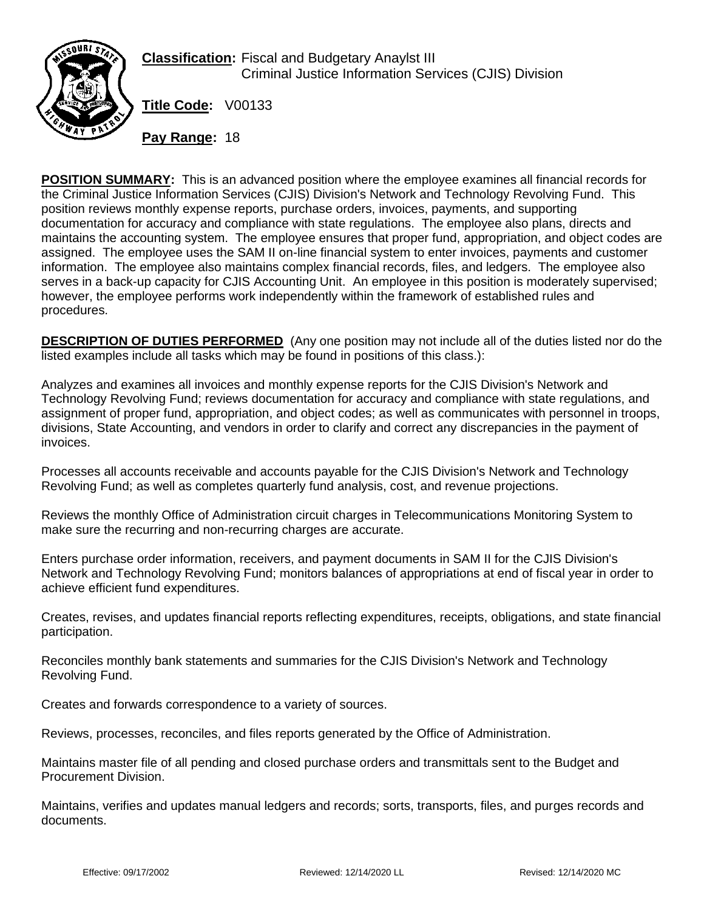

**Classification:** Fiscal and Budgetary Anaylst III Criminal Justice Information Services (CJIS) Division

**Title Code:** V00133

**Pay Range:** 18

**POSITION SUMMARY:** This is an advanced position where the employee examines all financial records for the Criminal Justice Information Services (CJIS) Division's Network and Technology Revolving Fund. This position reviews monthly expense reports, purchase orders, invoices, payments, and supporting documentation for accuracy and compliance with state regulations. The employee also plans, directs and maintains the accounting system. The employee ensures that proper fund, appropriation, and object codes are assigned. The employee uses the SAM II on-line financial system to enter invoices, payments and customer information. The employee also maintains complex financial records, files, and ledgers. The employee also serves in a back-up capacity for CJIS Accounting Unit. An employee in this position is moderately supervised; however, the employee performs work independently within the framework of established rules and procedures.

**DESCRIPTION OF DUTIES PERFORMED** (Any one position may not include all of the duties listed nor do the listed examples include all tasks which may be found in positions of this class.):

Analyzes and examines all invoices and monthly expense reports for the CJIS Division's Network and Technology Revolving Fund; reviews documentation for accuracy and compliance with state regulations, and assignment of proper fund, appropriation, and object codes; as well as communicates with personnel in troops, divisions, State Accounting, and vendors in order to clarify and correct any discrepancies in the payment of invoices.

Processes all accounts receivable and accounts payable for the CJIS Division's Network and Technology Revolving Fund; as well as completes quarterly fund analysis, cost, and revenue projections.

Reviews the monthly Office of Administration circuit charges in Telecommunications Monitoring System to make sure the recurring and non-recurring charges are accurate.

Enters purchase order information, receivers, and payment documents in SAM II for the CJIS Division's Network and Technology Revolving Fund; monitors balances of appropriations at end of fiscal year in order to achieve efficient fund expenditures.

Creates, revises, and updates financial reports reflecting expenditures, receipts, obligations, and state financial participation.

Reconciles monthly bank statements and summaries for the CJIS Division's Network and Technology Revolving Fund.

Creates and forwards correspondence to a variety of sources.

Reviews, processes, reconciles, and files reports generated by the Office of Administration.

Maintains master file of all pending and closed purchase orders and transmittals sent to the Budget and Procurement Division.

Maintains, verifies and updates manual ledgers and records; sorts, transports, files, and purges records and documents.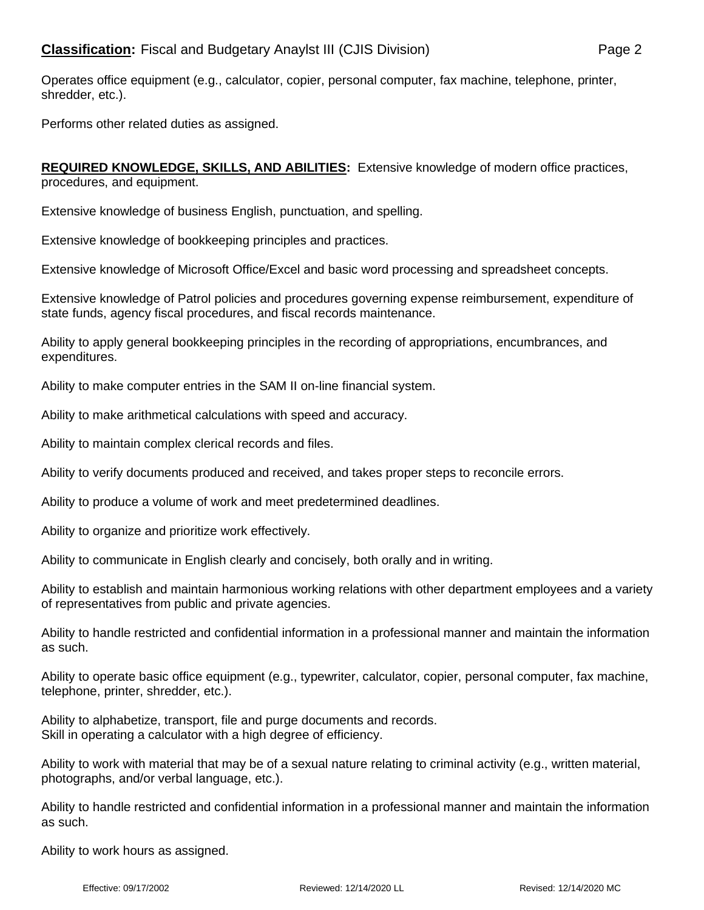Operates office equipment (e.g., calculator, copier, personal computer, fax machine, telephone, printer, shredder, etc.).

Performs other related duties as assigned.

**REQUIRED KNOWLEDGE, SKILLS, AND ABILITIES:** Extensive knowledge of modern office practices, procedures, and equipment.

Extensive knowledge of business English, punctuation, and spelling.

Extensive knowledge of bookkeeping principles and practices.

Extensive knowledge of Microsoft Office/Excel and basic word processing and spreadsheet concepts.

Extensive knowledge of Patrol policies and procedures governing expense reimbursement, expenditure of state funds, agency fiscal procedures, and fiscal records maintenance.

Ability to apply general bookkeeping principles in the recording of appropriations, encumbrances, and expenditures.

Ability to make computer entries in the SAM II on-line financial system.

Ability to make arithmetical calculations with speed and accuracy.

Ability to maintain complex clerical records and files.

Ability to verify documents produced and received, and takes proper steps to reconcile errors.

Ability to produce a volume of work and meet predetermined deadlines.

Ability to organize and prioritize work effectively.

Ability to communicate in English clearly and concisely, both orally and in writing.

Ability to establish and maintain harmonious working relations with other department employees and a variety of representatives from public and private agencies.

Ability to handle restricted and confidential information in a professional manner and maintain the information as such.

Ability to operate basic office equipment (e.g., typewriter, calculator, copier, personal computer, fax machine, telephone, printer, shredder, etc.).

Ability to alphabetize, transport, file and purge documents and records. Skill in operating a calculator with a high degree of efficiency.

Ability to work with material that may be of a sexual nature relating to criminal activity (e.g., written material, photographs, and/or verbal language, etc.).

Ability to handle restricted and confidential information in a professional manner and maintain the information as such.

Ability to work hours as assigned.